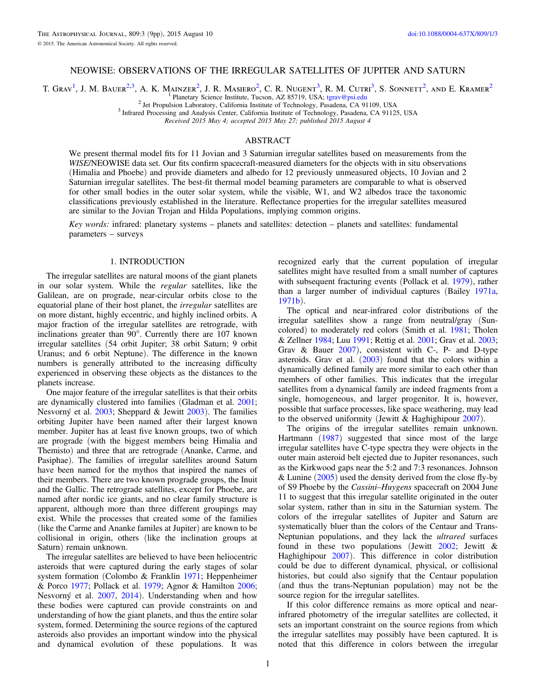# NEOWISE: OBSERVATIONS OF THE IRREGULAR SATELLITES OF JUPITER AND SATURN

T. Grav<sup>1</sup>, J. M. Bauer<sup>2,3</sup>, A. K. Mainzer<sup>2</sup>, J. R. Masiero<sup>2</sup>, C. R. Nugent<sup>3</sup>, R. M. Cutri<sup>3</sup>, S. Sonnett<sup>2</sup>, and E. Kramer<sup>2</sup>

<sup>1</sup> Planetary Science Institute, Tucson, AZ 85719, USA; [tgrav@psi.edu](mailto:tgrav@psi.edu)<br><sup>2</sup> Jet Propulsion Laboratory, California Institute of Technology, Pasadena, CA 91109, USA<br><sup>3</sup> Infrared Processing and Analysis Center, California Insti

Received 2015 May 4; accepted 2015 May 27; published 2015 August 4

# ABSTRACT

We present thermal model fits for 11 Jovian and 3 Saturnian irregular satellites based on measurements from the WISE/NEOWISE data set. Our fits confirm spacecraft-measured diameters for the objects with in situ observations (Himalia and Phoebe) and provide diameters and albedo for 12 previously unmeasured objects, 10 Jovian and 2 Saturnian irregular satellites. The best-fit thermal model beaming parameters are comparable to what is observed for other small bodies in the outer solar system, while the visible, W1, and W2 albedos trace the taxonomic classifications previously established in the literature. Reflectance properties for the irregular satellites measured are similar to the Jovian Trojan and Hilda Populations, implying common origins.

Key words: infrared: planetary systems – planets and satellites: detection – planets and satellites: fundamental parameters – surveys

# 1. INTRODUCTION

The irregular satellites are natural moons of the giant planets in our solar system. While the regular satellites, like the Galilean, are on prograde, near-circular orbits close to the equatorial plane of their host planet, the irregular satellites are on more distant, highly eccentric, and highly inclined orbits. A major fraction of the irregular satellites are retrograde, with inclinations greater than 90°. Currently there are 107 known irregular satellites (54 orbit Jupiter; 38 orbit Saturn; 9 orbit Uranus; and 6 orbit Neptune). The difference in the known numbers is generally attributed to the increasing difficulty experienced in observing these objects as the distances to the planets increase.

One major feature of the irregular satellites is that their orbits are dynamically clustered into families (Gladman et al. [2001](#page-8-0); Nesvorný et al. [2003;](#page-8-0) Sheppard & Jewitt [2003](#page-8-0)). The families orbiting Jupiter have been named after their largest known member. Jupiter has at least five known groups, two of which are prograde (with the biggest members being Himalia and Themisto) and three that are retrograde (Ananke, Carme, and Pasiphae). The families of irregular satellites around Saturn have been named for the mythos that inspired the names of their members. There are two known prograde groups, the Inuit and the Gallic. The retrograde satellites, except for Phoebe, are named after nordic ice giants, and no clear family structure is apparent, although more than three different groupings may exist. While the processes that created some of the families (like the Carme and Ananke familes at Jupiter) are known to be collisional in origin, others (like the inclination groups at Saturn) remain unknown.

The irregular satellites are believed to have been heliocentric asteroids that were captured during the early stages of solar system formation (Colombo & Franklin [1971](#page-8-0); Heppenheimer & Porco [1977;](#page-8-0) Pollack et al. [1979](#page-8-0); Agnor & Hamilton [2006](#page-8-0); Nesvorný et al. [2007,](#page-8-0) [2014](#page-8-0)). Understanding when and how these bodies were captured can provide constraints on and understanding of how the giant planets, and thus the entire solar system, formed. Determining the source regions of the captured asteroids also provides an important window into the physical and dynamical evolution of these populations. It was

recognized early that the current population of irregular satellites might have resulted from a small number of captures with subsequent fracturing events (Pollack et al. [1979](#page-8-0)), rather than a larger number of individual captures (Bailey [1971a](#page-8-0), [1971b](#page-8-0)).

The optical and near-infrared color distributions of the irregular satellites show a range from neutral/gray (Suncolored) to moderately red colors (Smith et al. [1981](#page-8-0); Tholen & Zellner [1984](#page-8-0); Luu [1991;](#page-8-0) Rettig et al. [2001;](#page-8-0) Grav et al. [2003](#page-8-0); Grav & Bauer [2007](#page-8-0)), consistent with C-, P- and D-type asteroids. Grav et al.  $(2003)$  $(2003)$  $(2003)$  found that the colors within a dynamically defined family are more similar to each other than members of other families. This indicates that the irregular satellites from a dynamical family are indeed fragments from a single, homogeneous, and larger progenitor. It is, however, possible that surface processes, like space weathering, may lead to the observed uniformity (Jewitt & Haghighipour [2007](#page-8-0)).

The origins of the irregular satellites remain unknown. Hartmann ([1987](#page-8-0)) suggested that since most of the large irregular satellites have C-type spectra they were objects in the outer main asteroid belt ejected due to Jupiter resonances, such as the Kirkwood gaps near the 5:2 and 7:3 resonances. Johnson & Lunine  $(2005)$  $(2005)$  $(2005)$  used the density derived from the close fly-by of S9 Phoebe by the Cassini–Huygens spacecraft on 2004 June 11 to suggest that this irregular satellite originated in the outer solar system, rather than in situ in the Saturnian system. The colors of the irregular satellites of Jupiter and Saturn are systematically bluer than the colors of the Centaur and Trans-Neptunian populations, and they lack the ultrared surfaces found in these two populations (Jewitt  $2002$ ; Jewitt & Haghighipour [2007](#page-8-0)). This difference in color distribution could be due to different dynamical, physical, or collisional histories, but could also signify that the Centaur population (and thus the trans-Neptunian population) may not be the source region for the irregular satellites.

If this color difference remains as more optical and nearinfrared photometry of the irregular satellites are collected, it sets an important constraint on the source regions from which the irregular satellites may possibly have been captured. It is noted that this difference in colors between the irregular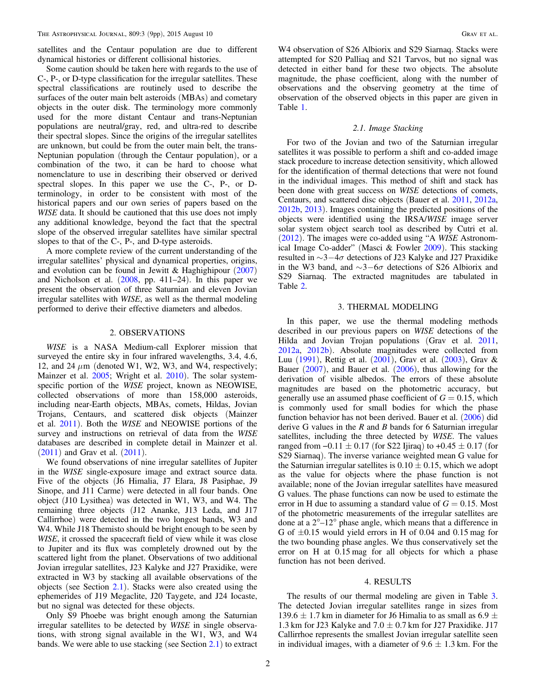<span id="page-1-0"></span>satellites and the Centaur population are due to different dynamical histories or different collisional histories.

Some caution should be taken here with regards to the use of C-, P-, or D-type classification for the irregular satellites. These spectral classifications are routinely used to describe the surfaces of the outer main belt asteroids (MBAs) and cometary objects in the outer disk. The terminology more commonly used for the more distant Centaur and trans-Neptunian populations are neutral/gray, red, and ultra-red to describe their spectral slopes. Since the origins of the irregular satellites are unknown, but could be from the outer main belt, the trans-Neptunian population (through the Centaur population), or a combination of the two, it can be hard to choose what nomenclature to use in describing their observed or derived spectral slopes. In this paper we use the C-, P-, or Dterminology, in order to be consistent with most of the historical papers and our own series of papers based on the WISE data. It should be cautioned that this use does not imply any additional knowledge, beyond the fact that the spectral slope of the observed irregular satellites have similar spectral slopes to that of the C-, P-, and D-type asteroids.

A more complete review of the current understanding of the irregular satellites' physical and dynamical properties, origins, and evolution can be found in Jewitt & Haghighipour  $(2007)$  $(2007)$  $(2007)$ and Nicholson et al. ([2008,](#page-8-0) pp. 411–24). In this paper we present the observation of three Saturnian and eleven Jovian irregular satellites with WISE, as well as the thermal modeling performed to derive their effective diameters and albedos.

## 2. OBSERVATIONS

WISE is a NASA Medium-call Explorer mission that surveyed the entire sky in four infrared wavelengths, 3.4, 4.6, 12, and 24  $\mu$ m (denoted W1, W2, W3, and W4, respectively; Mainzer et al. [2005](#page-8-0); Wright et al. [2010](#page-8-0)). The solar systemspecific portion of the WISE project, known as NEOWISE, collected observations of more than 158,000 asteroids, including near-Earth objects, MBAs, comets, Hildas, Jovian Trojans, Centaurs, and scattered disk objects (Mainzer et al. [2011](#page-8-0)). Both the WISE and NEOWISE portions of the survey and instructions on retrieval of data from the WISE databases are described in complete detail in Mainzer et al. ([2011](#page-8-0)) and Grav et al. ([2011](#page-8-0)).

We found observations of nine irregular satellites of Jupiter in the WISE single-exposure image and extract source data. Five of the objects (J6 Himalia, J7 Elara, J8 Pasiphae, J9 Sinope, and J11 Carme) were detected in all four bands. One object (J10 Lysithea) was detected in W1, W3, and W4. The remaining three objects (J12 Ananke, J13 Leda, and J17 Callirrhoe) were detected in the two longest bands, W3 and W4. While J18 Themisto should be bright enough to be seen by WISE, it crossed the spacecraft field of view while it was close to Jupiter and its flux was completely drowned out by the scattered light from the planet. Observations of two additional Jovian irregular satellites, J23 Kalyke and J27 Praxidike, were extracted in W3 by stacking all available observations of the objects (see Section 2.1). Stacks were also created using the ephemerides of J19 Megaclite, J20 Taygete, and J24 Iocaste, but no signal was detected for these objects.

Only S9 Phoebe was bright enough among the Saturnian irregular satellites to be detected by WISE in single observations, with strong signal available in the W1, W3, and W4 bands. We were able to use stacking (see Section 2.1) to extract W4 observation of S26 Albiorix and S29 Siarnaq. Stacks were attempted for S20 Palliaq and S21 Tarvos, but no signal was detected in either band for these two objects. The absolute magnitude, the phase coefficient, along with the number of observations and the observing geometry at the time of observation of the observed objects in this paper are given in Table [1.](#page-2-0)

# 2.1. Image Stacking

For two of the Jovian and two of the Saturnian irregular satellites it was possible to perform a shift and co-added image stack procedure to increase detection sensitivity, which allowed for the identification of thermal detections that were not found in the individual images. This method of shift and stack has been done with great success on WISE detections of comets, Centaurs, and scattered disc objects (Bauer et al. [2011,](#page-8-0) [2012a](#page-8-0), [2012b,](#page-8-0) [2013](#page-8-0)). Images containing the predicted positions of the objects were identified using the IRSA/WISE image server solar system object search tool as described by Cutri et al. ([2012](#page-8-0)). The images were co-added using "A WISE Astronomical Image Co-adder" (Masci & Fowler [2009](#page-8-0)). This stacking resulted in  $\sim$ 3 $-4\sigma$  detections of J23 Kalyke and J27 Praxidike in the W3 band, and  $\sim$ 3–6 $\sigma$  detections of S26 Albiorix and S29 Siarnaq. The extracted magnitudes are tabulated in Table [2.](#page-2-0)

### 3. THERMAL MODELING

In this paper, we use the thermal modeling methods described in our previous papers on WISE detections of the Hilda and Jovian Trojan populations (Grav et al. [2011](#page-8-0), [2012a](#page-8-0), [2012b](#page-8-0)). Absolute magnitudes were collected from Luu ([1991](#page-8-0)), Rettig et al. ([2001](#page-8-0)), Grav et al. ([2003](#page-8-0)), Grav & Bauer ([2007](#page-8-0)), and Bauer et al. ([2006](#page-8-0)), thus allowing for the derivation of visible albedos. The errors of these absolute magnitudes are based on the photometric accuracy, but generally use an assumed phase coefficient of  $G = 0.15$ , which is commonly used for small bodies for which the phase function behavior has not been derived. Bauer et al. ([2006](#page-8-0)) did derive G values in the  $R$  and  $B$  bands for 6 Saturnian irregular satellites, including the three detected by WISE. The values ranged from  $-0.11 \pm 0.17$  (for S22 Ijiraq) to  $+0.45 \pm 0.17$  (for S29 Siarnaq). The inverse variance weighted mean G value for the Saturnian irregular satellites is  $0.10 \pm 0.15$ , which we adopt as the value for objects where the phase function is not available; none of the Jovian irregular satellites have measured G values. The phase functions can now be used to estimate the error in H due to assuming a standard value of  $G = 0.15$ . Most of the photometric measurements of the irregular satellites are done at a 2°–12° phase angle, which means that a difference in G of  $\pm 0.15$  would yield errors in H of 0.04 and 0.15 mag for the two bounding phase angles. We thus conservatively set the error on H at 0.15 mag for all objects for which a phase function has not been derived.

### 4. RESULTS

The results of our thermal modeling are given in Table [3](#page-3-0). The detected Jovian irregular satellites range in sizes from 139.6  $\pm$  1.7 km in diameter for J6 Himalia to as small as 6.9  $\pm$ 1.3 km for J23 Kalyke and  $7.0 \pm 0.7$  km for J27 Praxidike. J17 Callirrhoe represents the smallest Jovian irregular satellite seen in individual images, with a diameter of  $9.6 \pm 1.3$  km. For the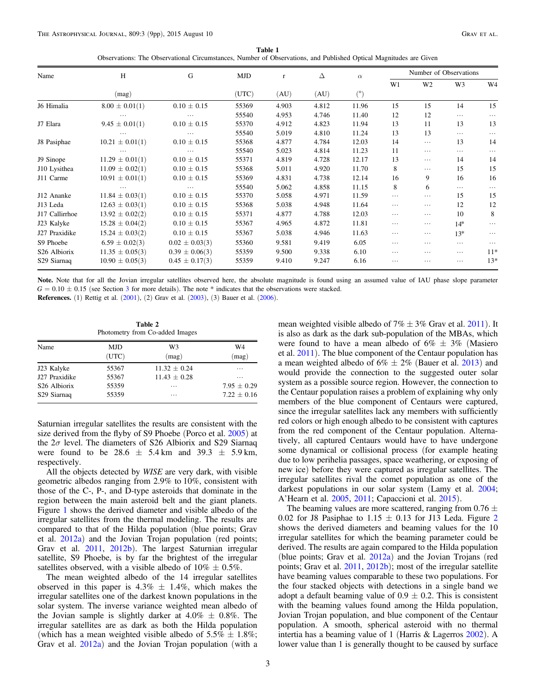Table 1 Observations: The Observational Circumstances, Number of Observations, and Published Optical Magnitudes are Given

<span id="page-2-0"></span>

| Name                     | H                   | G                  | <b>MJD</b> | $\mathbf{r}$ | Δ     | $\alpha$   | Number of Observations |                |          |          |
|--------------------------|---------------------|--------------------|------------|--------------|-------|------------|------------------------|----------------|----------|----------|
|                          |                     |                    |            |              |       |            | W <sub>1</sub>         | W <sub>2</sub> | W3       | W4       |
|                          | (mag)               |                    | (UTC)      | (AU)         | (AU)  | $(^\circ)$ |                        |                |          |          |
| J6 Himalia               | $8.00 \pm 0.01(1)$  | $0.10 \pm 0.15$    | 55369      | 4.903        | 4.812 | 11.96      | 15                     | 15             | 14       | 15       |
|                          | $\cdots$            | $\cdots$           | 55540      | 4.953        | 4.746 | 11.40      | 12                     | 12             | $\cdots$ | .        |
| J7 Elara                 | $9.45 \pm 0.01(1)$  | $0.10 \pm 0.15$    | 55370      | 4.912        | 4.823 | 11.94      | 13                     | 11             | 13       | 13       |
|                          | $\cdots$            |                    | 55540      | 5.019        | 4.810 | 11.24      | 13                     | 13             | $\cdots$ | $\cdots$ |
| J8 Pasiphae              | $10.21 \pm 0.01(1)$ | $0.10 \pm 0.15$    | 55368      | 4.877        | 4.784 | 12.03      | 14                     | $\cdots$       | 13       | 14       |
|                          | .                   |                    | 55540      | 5.023        | 4.814 | 11.23      | 11                     | $\cdots$       | .        | .        |
| J9 Sinope                | $11.29 \pm 0.01(1)$ | $0.10 \pm 0.15$    | 55371      | 4.819        | 4.728 | 12.17      | 13                     | $\cdots$       | 14       | 14       |
| J10 Lysithea             | $11.09 \pm 0.02(1)$ | $0.10 \pm 0.15$    | 55368      | 5.011        | 4.920 | 11.70      | 8                      | $\cdots$       | 15       | 15       |
| J11 Carme                | $10.91 \pm 0.01(1)$ | $0.10 \pm 0.15$    | 55369      | 4.831        | 4.738 | 12.14      | 16                     | 9              | 16       | 16       |
|                          | $\cdots$            | $\cdots$           | 55540      | 5.062        | 4.858 | 11.15      | 8                      | 6              | .        | $\cdots$ |
| J12 Ananke               | $11.84 \pm 0.03(1)$ | $0.10 \pm 0.15$    | 55370      | 5.058        | 4.971 | 11.59      | $\cdots$               | $\cdots$       | 15       | 15       |
| J13 Leda                 | $12.63 \pm 0.03(1)$ | $0.10 \pm 0.15$    | 55368      | 5.038        | 4.948 | 11.64      | $\cdots$               | $\cdots$       | 12       | 12       |
| J17 Callirrhoe           | $13.92 \pm 0.02(2)$ | $0.10 \pm 0.15$    | 55371      | 4.877        | 4.788 | 12.03      | $\cdots$               | $\cdots$       | 10       | 8        |
| J23 Kalyke               | $15.28 \pm 0.04(2)$ | $0.10 \pm 0.15$    | 55367      | 4.965        | 4.872 | 11.81      | $\cdots$               | $\cdots$       | $14*$    | $\cdots$ |
| J27 Praxidike            | $15.24 \pm 0.03(2)$ | $0.10 \pm 0.15$    | 55367      | 5.038        | 4.946 | 11.63      | $\cdots$               | $\cdots$       | $13*$    | $\ldots$ |
| S9 Phoebe                | $6.59 \pm 0.02(3)$  | $0.02 \pm 0.03(3)$ | 55360      | 9.581        | 9.419 | 6.05       | $\cdots$               | $\cdots$       | $\cdots$ | $\cdots$ |
| S <sub>26</sub> Albiorix | $11.35 \pm 0.05(3)$ | $0.39 \pm 0.06(3)$ | 55359      | 9.500        | 9.338 | 6.10       | $\cdots$               | $\cdots$       | $\cdots$ | $11*$    |
| S <sub>29</sub> Siarnaq  | $10.90 \pm 0.05(3)$ | $0.45 \pm 0.17(3)$ | 55359      | 9.410        | 9.247 | 6.16       | $\cdots$               | .              | $\cdots$ | $13*$    |

Note. Note that for all the Jovian irregular satellites observed here, the absolute magnitude is found using an assumed value of IAU phase slope parameter  $G = 0.10 \pm 0.15$  (see Section [3](#page-1-0) for more details). The note  $*$  indicates that the observations were stacked.

References. (1) Rettig et al. ([2001](#page-8-0)), (2) Grav et al. ([2003](#page-8-0)), (3) Bauer et al. ([2006](#page-8-0)).

Table 2 Photometry from Co-added Images

| Name                     | MJD   | W3               | W4              |  |  |
|--------------------------|-------|------------------|-----------------|--|--|
|                          | (UTC) | (mag)            | $(\text{mag})$  |  |  |
| J23 Kalyke               | 55367 | $11.32 \pm 0.24$ | $\cdots$        |  |  |
| J27 Praxidike            | 55367 | $11.43 \pm 0.28$ | $\cdots$        |  |  |
| S <sub>26</sub> Albiorix | 55359 | $\cdots$         | $7.95 \pm 0.29$ |  |  |
| S <sub>29</sub> Siarnaq  | 55359 | .                | $7.22 \pm 0.16$ |  |  |

Saturnian irregular satellites the results are consistent with the size derived from the flyby of S9 Phoebe (Porco et al. [2005](#page-8-0)) at the  $2\sigma$  level. The diameters of S26 Albiorix and S29 Siarnaq were found to be 28.6  $\pm$  5.4 km and 39.3  $\pm$  5.9 km, respectively.

All the objects detected by WISE are very dark, with visible geometric albedos ranging from 2.9% to 10%, consistent with those of the C-, P-, and D-type asteroids that dominate in the region between the main asteroid belt and the giant planets. Figure [1](#page-3-0) shows the derived diameter and visible albedo of the irregular satellites from the thermal modeling. The results are compared to that of the Hilda population (blue points; Grav et al. [2012a](#page-8-0)) and the Jovian Trojan population (red points; Grav et al. [2011](#page-8-0), [2012b](#page-8-0)). The largest Saturnian irregular satellite, S9 Phoebe, is by far the brightest of the irregular satellites observed, with a visible albedo of  $10\% \pm 0.5\%$ .

The mean weighted albedo of the 14 irregular satellites observed in this paper is  $4.3\% \pm 1.4\%$ , which makes the irregular satellites one of the darkest known populations in the solar system. The inverse variance weighted mean albedo of the Jovian sample is slightly darker at  $4.0\% \pm 0.8\%$ . The irregular satellites are as dark as both the Hilda population (which has a mean weighted visible albedo of  $5.5\% \pm 1.8\%$ ; Grav et al. [2012a](#page-8-0)) and the Jovian Trojan population (with a

mean weighted visible albedo of  $7\% \pm 3\%$  Grav et al. [2011](#page-8-0)). It is also as dark as the dark sub-population of the MBAs, which were found to have a mean albedo of  $6\% \pm 3\%$  (Masiero et al. [2011](#page-8-0)). The blue component of the Centaur population has a mean weighted albedo of  $6\% \pm 2\%$  (Bauer et al. [2013](#page-8-0)) and would provide the connection to the suggested outer solar system as a possible source region. However, the connection to the Centaur population raises a problem of explaining why only members of the blue component of Centaurs were captured, since the irregular satellites lack any members with sufficiently red colors or high enough albedo to be consistent with captures from the red component of the Centaur population. Alternatively, all captured Centaurs would have to have undergone some dynamical or collisional process (for example heating due to low perihelia passages, space weathering, or exposing of new ice) before they were captured as irregular satellites. The irregular satellites rival the comet population as one of the darkest populations in our solar system (Lamy et al. [2004](#page-8-0); A'Hearn et al. [2005,](#page-8-0) [2011;](#page-8-0) Capaccioni et al. [2015](#page-8-0)).

The beaming values are more scattered, ranging from  $0.76 \pm$ 0.0[2](#page-3-0) for J8 Pasiphae to 1.15  $\pm$  0.13 for J13 Leda. Figure 2 shows the derived diameters and beaming values for the 10 irregular satellites for which the beaming parameter could be derived. The results are again compared to the Hilda population (blue points; Grav et al. [2012a](#page-8-0)) and the Jovian Trojans (red points; Grav et al. [2011](#page-8-0), [2012b](#page-8-0)); most of the irregular satellite have beaming values comparable to these two populations. For the four stacked objects with detections in a single band we adopt a default beaming value of  $0.9 \pm 0.2$ . This is consistent with the beaming values found among the Hilda population, Jovian Trojan population, and blue component of the Centaur population. A smooth, spherical asteroid with no thermal intertia has a beaming value of 1 (Harris & Lagerros [2002](#page-8-0)). A lower value than 1 is generally thought to be caused by surface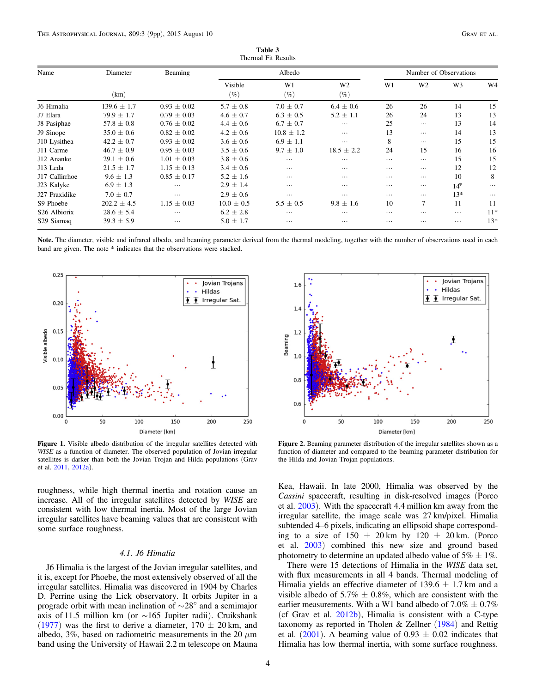<span id="page-3-0"></span>

| Name                     | Diameter        | Beaming         |                | Number of Observations |                |                |                |                |                |
|--------------------------|-----------------|-----------------|----------------|------------------------|----------------|----------------|----------------|----------------|----------------|
|                          |                 |                 | Visible        | W <sub>1</sub>         | W <sub>2</sub> | W <sub>1</sub> | W <sub>2</sub> | W <sub>3</sub> | W <sub>4</sub> |
|                          | (km)            |                 | $(\%)$         | $(\% )$                | $(\%)$         |                |                |                |                |
| J6 Himalia               | $139.6 \pm 1.7$ | $0.93 \pm 0.02$ | $5.7 \pm 0.8$  | $7.0 \pm 0.7$          | $6.4 \pm 0.6$  | 26             | 26             | 14             | 15             |
| J7 Elara                 | $79.9 \pm 1.7$  | $0.79 \pm 0.03$ | $4.6 \pm 0.7$  | $6.3 \pm 0.5$          | $5.2 \pm 1.1$  | 26             | 24             | 13             | 13             |
| J8 Pasiphae              | $57.8 \pm 0.8$  | $0.76 \pm 0.02$ | $4.4 \pm 0.6$  | $6.7 \pm 0.7$          | $\cdots$       | 25             | $\cdots$       | 13             | 14             |
| J9 Sinope                | $35.0 \pm 0.6$  | $0.82 \pm 0.02$ | $4.2 \pm 0.6$  | $10.8 \pm 1.2$         | $\cdots$       | 13             | $\cdots$       | 14             | 13             |
| J10 Lysithea             | $42.2 \pm 0.7$  | $0.93 \pm 0.02$ | $3.6 \pm 0.6$  | $6.9 \pm 1.1$          | $\cdots$       | 8              | $\cdots$       | 15             | 15             |
| J11 Carme                | $46.7 \pm 0.9$  | $0.95 \pm 0.03$ | $3.5 \pm 0.6$  | $9.7 \pm 1.0$          | $18.5 \pm 2.2$ | 24             | 15             | 16             | 16             |
| J12 Ananke               | $29.1 \pm 0.6$  | $1.01 \pm 0.03$ | $3.8 \pm 0.6$  | $\cdots$               | $\cdots$       | $\cdots$       | $\cdots$       | 15             | 15             |
| J13 Leda                 | $21.5 \pm 1.7$  | $1.15 \pm 0.13$ | $3.4 \pm 0.6$  | $\cdots$               | $\cdots$       | $\cdots$       | $\cdots$       | 12             | 12             |
| J17 Callirrhoe           | $9.6 \pm 1.3$   | $0.85 \pm 0.17$ | $5.2 \pm 1.6$  | $\cdots$               | $\cdots$       | $\cdots$       | $\cdots$       | 10             | 8              |
| J23 Kalyke               | $6.9 \pm 1.3$   | $\cdots$        | $2.9 \pm 1.4$  | $\cdots$               | $\cdots$       | $\cdots$       | $\cdots$       | $14*$          | $\cdots$       |
| J27 Praxidike            | $7.0 \pm 0.7$   | $\cdots$        | $2.9 \pm 0.6$  | $\cdots$               | $\cdots$       | $\cdots$       | $\cdots$       | $13*$          | $\cdots$       |
| S9 Phoebe                | $202.2 \pm 4.5$ | $1.15 \pm 0.03$ | $10.0 \pm 0.5$ | $5.5 \pm 0.5$          | $9.8 \pm 1.6$  | 10             | 7              | 11             | 11             |
| S <sub>26</sub> Albiorix | $28.6 \pm 5.4$  | $\cdots$        | $6.2 \pm 2.8$  | $\cdots$               | $\cdots$       | $\cdots$       | $\cdots$       | $\cdots$       | $11*$          |
| S <sub>29</sub> Siarnaq  | $39.3 \pm 5.9$  | $\cdots$        | $5.0 \pm 1.7$  | $\cdots$               | $\cdots$       | $\cdots$       | $\cdots$       | .              | $13*$          |

Table 3 Thermal Fit Results

Note. The diameter, visible and infrared albedo, and beaming parameter derived from the thermal modeling, together with the number of observations used in each band are given. The note \* indicates that the observations were stacked.



Figure 1. Visible albedo distribution of the irregular satellites detected with WISE as a function of diameter. The observed population of Jovian irregular satellites is darker than both the Jovian Trojan and Hilda populations (Grav et al. [2011](#page-8-0), [2012a](#page-8-0)).

roughness, while high thermal inertia and rotation cause an increase. All of the irregular satellites detected by WISE are consistent with low thermal inertia. Most of the large Jovian irregular satellites have beaming values that are consistent with some surface roughness.

# 4.1. J6 Himalia

J6 Himalia is the largest of the Jovian irregular satellites, and it is, except for Phoebe, the most extensively observed of all the irregular satellites. Himalia was discovered in 1904 by Charles D. Perrine using the Lick observatory. It orbits Jupiter in a prograde orbit with mean inclination of  $\sim$ 28 $^{\circ}$  and a semimajor axis of 11.5 million km (or ∼165 Jupiter radii). Cruikshank ([1977](#page-8-0)) was the first to derive a diameter,  $170 \pm 20$  km, and albedo,  $3\%$ , based on radiometric measurements in the 20  $\mu$ m band using the University of Hawaii 2.2 m telescope on Mauna



Figure 2. Beaming parameter distribution of the irregular satellites shown as a function of diameter and compared to the beaming parameter distribution for the Hilda and Jovian Trojan populations.

Kea, Hawaii. In late 2000, Himalia was observed by the Cassini spacecraft, resulting in disk-resolved images (Porco et al. [2003](#page-8-0)). With the spacecraft 4.4 million km away from the irregular satellite, the image scale was 27 km/pixel. Himalia subtended 4–6 pixels, indicating an ellipsoid shape corresponding to a size of  $150 \pm 20 \text{ km}$  by  $120 \pm 20 \text{ km}$ . (Porco et al. [2003](#page-8-0)) combined this new size and ground based photometry to determine an updated albedo value of  $5\% \pm 1\%$ .

There were 15 detections of Himalia in the WISE data set, with flux measurements in all 4 bands. Thermal modeling of Himalia yields an effective diameter of 139.6  $\pm$  1.7 km and a visible albedo of 5.7%  $\pm$  0.8%, which are consistent with the earlier measurements. With a W1 band albedo of  $7.0\% \pm 0.7\%$ (cf Grav et al. [2012b](#page-8-0)), Himalia is consistent with a C-type taxonomy as reported in Tholen & Zellner ([1984](#page-8-0)) and Rettig et al.  $(2001)$  $(2001)$  $(2001)$ . A beaming value of  $0.93 \pm 0.02$  indicates that Himalia has low thermal inertia, with some surface roughness.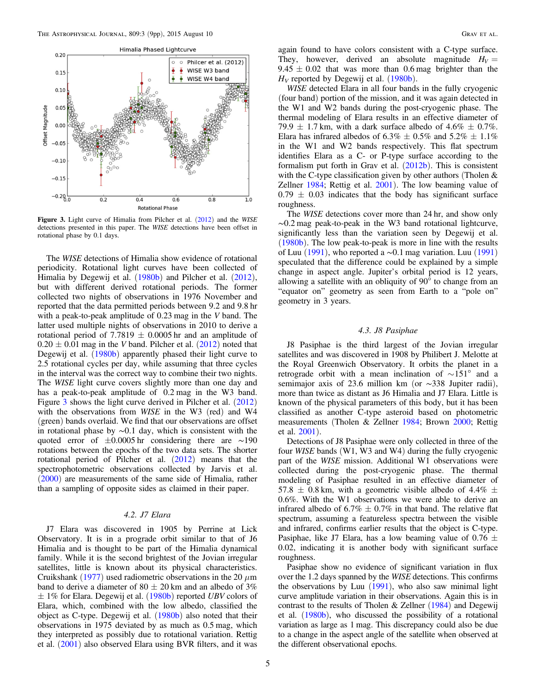

Figure 3. Light curve of Himalia from Pilcher et al. ([2012](#page-8-0)) and the WISE detections presented in this paper. The WISE detections have been offset in rotational phase by 0.1 days.

The WISE detections of Himalia show evidence of rotational periodicity. Rotational light curves have been collected of Himalia by Degewij et al. ([1980b](#page-8-0)) and Pilcher et al. ([2012](#page-8-0)), but with different derived rotational periods. The former collected two nights of observations in 1976 November and reported that the data permitted periods between 9.2 and 9.8 hr with a peak-to-peak amplitude of 0.23 mag in the V band. The latter used multiple nights of observations in 2010 to derive a rotational period of 7.7819  $\pm$  0.0005 hr and an amplitude of  $0.20 \pm 0.01$  mag in the V band. Pilcher et al. ([2012](#page-8-0)) noted that Degewij et al. ([1980b](#page-8-0)) apparently phased their light curve to 2.5 rotational cycles per day, while assuming that three cycles in the interval was the correct way to combine their two nights. The WISE light curve covers slightly more than one day and has a peak-to-peak amplitude of 0.2 mag in the W3 band. Figure 3 shows the light curve derived in Pilcher et al. ([2012](#page-8-0)) with the observations from WISE in the W3 (red) and W4 (green) bands overlaid. We find that our observations are offset in rotational phase by ∼0.1 day, which is consistent with the quoted error of ±0.0005 hr considering there are ∼190 rotations between the epochs of the two data sets. The shorter rotational period of Pilcher et al. ([2012](#page-8-0)) means that the spectrophotometric observations collected by Jarvis et al. ([2000](#page-8-0)) are measurements of the same side of Himalia, rather than a sampling of opposite sides as claimed in their paper.

# 4.2. J7 Elara

J7 Elara was discovered in 1905 by Perrine at Lick Observatory. It is in a prograde orbit similar to that of J6 Himalia and is thought to be part of the Himalia dynamical family. While it is the second brightest of the Jovian irregular satellites, little is known about its physical characteristics. Cruikshank ([1977](#page-8-0)) used radiometric observations in the 20  $\mu$ m band to derive a diameter of 80  $\pm$  20 km and an albedo of 3%  $\pm$  1% for Elara. Degewij et al. ([1980b](#page-8-0)) reported UBV colors of Elara, which, combined with the low albedo, classified the object as C-type. Degewij et al. ([1980b](#page-8-0)) also noted that their observations in 1975 deviated by as much as 0.5 mag, which they interpreted as possibly due to rotational variation. Rettig et al. ([2001](#page-8-0)) also observed Elara using BVR filters, and it was

again found to have colors consistent with a C-type surface. They, however, derived an absolute magnitude  $H_V =$  $9.45 \pm 0.02$  that was more than 0.6 mag brighter than the  $H_V$  reported by Degewij et al. ([1980b](#page-8-0)).

WISE detected Elara in all four bands in the fully cryogenic (four band) portion of the mission, and it was again detected in the W1 and W2 bands during the post-cryogenic phase. The thermal modeling of Elara results in an effective diameter of 79.9  $\pm$  1.7 km, with a dark surface albedo of 4.6%  $\pm$  0.7%. Elara has infrared albedos of 6.3%  $\pm$  0.5% and 5.2%  $\pm$  1.1% in the W1 and W2 bands respectively. This flat spectrum identifies Elara as a C- or P-type surface according to the formalism put forth in Grav et al.  $(2012b)$  $(2012b)$  $(2012b)$ . This is consistent with the C-type classification given by other authors (Tholen & Zellner [1984](#page-8-0); Rettig et al. [2001](#page-8-0)). The low beaming value of  $0.79 \pm 0.03$  indicates that the body has significant surface roughness.

The WISE detections cover more than 24 hr, and show only ∼0.2 mag peak-to-peak in the W3 band rotational lightcurve, significantly less than the variation seen by Degewij et al. ([1980b](#page-8-0)). The low peak-to-peak is more in line with the results of Luu ([1991](#page-8-0)), who reported a ∼0.1 mag variation. Luu ([1991](#page-8-0)) speculated that the difference could be explained by a simple change in aspect angle. Jupiter's orbital period is 12 years, allowing a satellite with an obliquity of 90° to change from an "equator on" geometry as seen from Earth to a "pole on" geometry in 3 years.

# 4.3. J8 Pasiphae

J8 Pasiphae is the third largest of the Jovian irregular satellites and was discovered in 1908 by Philibert J. Melotte at the Royal Greenwich Observatory. It orbits the planet in a retrograde orbit with a mean inclination of  $\sim 151^\circ$  and a semimajor axis of 23.6 million km (or ∼338 Jupiter radii), more than twice as distant as J6 Himalia and J7 Elara. Little is known of the physical parameters of this body, but it has been classified as another C-type asteroid based on photometric measurements (Tholen & Zellner [1984;](#page-8-0) Brown [2000;](#page-8-0) Rettig et al. [2001](#page-8-0)).

Detections of J8 Pasiphae were only collected in three of the four WISE bands (W1, W3 and W4) during the fully cryogenic part of the WISE mission. Additional W1 observations were collected during the post-cryogenic phase. The thermal modeling of Pasiphae resulted in an effective diameter of 57.8  $\pm$  0.8 km, with a geometric visible albedo of 4.4%  $\pm$ 0.6%. With the W1 observations we were able to derive an infrared albedo of  $6.7\% \pm 0.7\%$  in that band. The relative flat spectrum, assuming a featureless spectra between the visible and infrared, confirms earlier results that the object is C-type. Pasiphae, like J7 Elara, has a low beaming value of  $0.76 \pm$ 0.02, indicating it is another body with significant surface roughness.

Pasiphae show no evidence of significant variation in flux over the 1.2 days spanned by the WISE detections. This confirms the observations by Luu ([1991](#page-8-0)), who also saw minimal light curve amplitude variation in their observations. Again this is in contrast to the results of Tholen & Zellner ([1984](#page-8-0)) and Degewij et al. ([1980b](#page-8-0)), who discussed the possibility of a rotational variation as large as 1 mag. This discrepancy could also be due to a change in the aspect angle of the satellite when observed at the different observational epochs.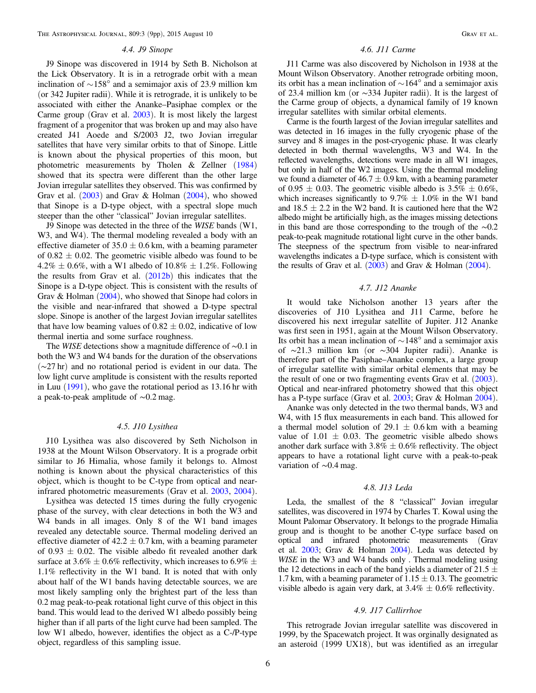The Astrophysical Journal, 809:3 (9pp), 2015 August 10 Grav et al. Grav et al.

### 4.4. J9 Sinope

J9 Sinope was discovered in 1914 by Seth B. Nicholson at the Lick Observatory. It is in a retrograde orbit with a mean inclination of  $\sim$ 158 $^{\circ}$  and a semimajor axis of 23.9 million km (or 342 Jupiter radii). While it is retrograde, it is unlikely to be associated with either the Ananke–Pasiphae complex or the Carme group (Grav et al. [2003](#page-8-0)). It is most likely the largest fragment of a progenitor that was broken up and may also have created J41 Aoede and S/2003 J2, two Jovian irregular satellites that have very similar orbits to that of Sinope. Little is known about the physical properties of this moon, but photometric measurements by Tholen & Zellner ([1984](#page-8-0)) showed that its spectra were different than the other large Jovian irregular satellites they observed. This was confirmed by Grav et al.  $(2003)$  $(2003)$  $(2003)$  and Grav & Holman  $(2004)$  $(2004)$  $(2004)$ , who showed that Sinope is a D-type object, with a spectral slope much steeper than the other "classical" Jovian irregular satellites.

J9 Sinope was detected in the three of the WISE bands (W1, W3, and W4). The thermal modeling revealed a body with an effective diameter of  $35.0 \pm 0.6$  km, with a beaming parameter of  $0.82 \pm 0.02$ . The geometric visible albedo was found to be  $4.2\% \pm 0.6\%$ , with a W1 albedo of  $10.8\% \pm 1.2\%$ . Following the results from Grav et al.  $(2012b)$  $(2012b)$  $(2012b)$  this indicates that the Sinope is a D-type object. This is consistent with the results of Grav & Holman ([2004](#page-8-0)), who showed that Sinope had colors in the visible and near-infrared that showed a D-type spectral slope. Sinope is another of the largest Jovian irregular satellites that have low beaming values of  $0.82 \pm 0.02$ , indicative of low thermal inertia and some surface roughness.

The WISE detections show a magnitude difference of ∼0.1 in both the W3 and W4 bands for the duration of the observations (∼27 hr) and no rotational period is evident in our data. The low light curve amplitude is consistent with the results reported in Luu ([1991](#page-8-0)), who gave the rotational period as 13.16 hr with a peak-to-peak amplitude of ∼0.2 mag.

#### 4.5. J10 Lysithea

J10 Lysithea was also discovered by Seth Nicholson in 1938 at the Mount Wilson Observatory. It is a prograde orbit similar to J6 Himalia, whose family it belongs to. Almost nothing is known about the physical characteristics of this object, which is thought to be C-type from optical and nearinfrared photometric measurements (Grav et al. [2003](#page-8-0), [2004](#page-8-0)).

Lysithea was detected 15 times during the fully cryogenic phase of the survey, with clear detections in both the W3 and W4 bands in all images. Only 8 of the W1 band images revealed any detectable source. Thermal modeling derived an effective diameter of  $42.2 \pm 0.7$  km, with a beaming parameter of 0.93  $\pm$  0.02. The visible albedo fit revealed another dark surface at 3.6%  $\pm$  0.6% reflectivity, which increases to 6.9%  $\pm$ 1.1% reflectivity in the W1 band. It is noted that with only about half of the W1 bands having detectable sources, we are most likely sampling only the brightest part of the less than 0.2 mag peak-to-peak rotational light curve of this object in this band. This would lead to the derived W1 albedo possibly being higher than if all parts of the light curve had been sampled. The low W1 albedo, however, identifies the object as a C-/P-type object, regardless of this sampling issue.

# 4.6. J11 Carme

J11 Carme was also discovered by Nicholson in 1938 at the Mount Wilson Observatory. Another retrograde orbiting moon, its orbit has a mean inclination of  $\sim$ 164 $\degree$  and a semimajor axis of 23.4 million km (or ∼334 Jupiter radii). It is the largest of the Carme group of objects, a dynamical family of 19 known irregular satellites with similar orbital elements.

Carme is the fourth largest of the Jovian irregular satellites and was detected in 16 images in the fully cryogenic phase of the survey and 8 images in the post-cryogenic phase. It was clearly detected in both thermal wavelengths, W3 and W4. In the reflected wavelengths, detections were made in all W1 images, but only in half of the W2 images. Using the thermal modeling we found a diameter of  $46.7 \pm 0.9$  km, with a beaming parameter of 0.95  $\pm$  0.03. The geometric visible albedo is 3.5%  $\pm$  0.6%, which increases significantly to  $9.7\% \pm 1.0\%$  in the W1 band and  $18.5 \pm 2.2$  in the W2 band. It is cautioned here that the W2 albedo might be artificially high, as the images missing detections in this band are those corresponding to the trough of the ∼0.2 peak-to-peak magnitude rotational light curve in the other bands. The steepness of the spectrum from visible to near-infrared wavelengths indicates a D-type surface, which is consistent with the results of Grav et al. ([2003](#page-8-0)) and Grav & Holman ([2004](#page-8-0)).

#### 4.7. J12 Ananke

It would take Nicholson another 13 years after the discoveries of J10 Lysithea and J11 Carme, before he discovered his next irregular satellite of Jupiter. J12 Ananke was first seen in 1951, again at the Mount Wilson Observatory. Its orbit has a mean inclination of  $\sim$ 148 $\degree$  and a semimajor axis of ∼21.3 million km (or ∼304 Jupiter radii). Ananke is therefore part of the Pasiphae–Ananke complex, a large group of irregular satellite with similar orbital elements that may be the result of one or two fragmenting events Grav et al. ([2003](#page-8-0)). Optical and near-infrared photometry showed that this object has a P-type surface (Grav et al. [2003](#page-8-0); Grav & Holman [2004](#page-8-0)).

Ananke was only detected in the two thermal bands, W3 and W4, with 15 flux measurements in each band. This allowed for a thermal model solution of 29.1  $\pm$  0.6 km with a beaming value of 1.01  $\pm$  0.03. The geometric visible albedo shows another dark surface with  $3.8\% \pm 0.6\%$  reflectivity. The object appears to have a rotational light curve with a peak-to-peak variation of ∼0.4 mag.

### 4.8. J13 Leda

Leda, the smallest of the 8 "classical" Jovian irregular satellites, was discovered in 1974 by Charles T. Kowal using the Mount Palomar Observatory. It belongs to the prograde Himalia group and is thought to be another C-type surface based on optical and infrared photometric measurements (Grav et al. [2003](#page-8-0); Grav & Holman [2004](#page-8-0)). Leda was detected by WISE in the W3 and W4 bands only. Thermal modeling using the 12 detections in each of the band yields a diameter of 21.5  $\pm$ 1.7 km, with a beaming parameter of 1.15  $\pm$  0.13. The geometric visible albedo is again very dark, at  $3.4\% \pm 0.6\%$  reflectivity.

# 4.9. J17 Callirrhoe

This retrograde Jovian irregular satellite was discovered in 1999, by the Spacewatch project. It was orginally designated as an asteroid (1999 UX18), but was identified as an irregular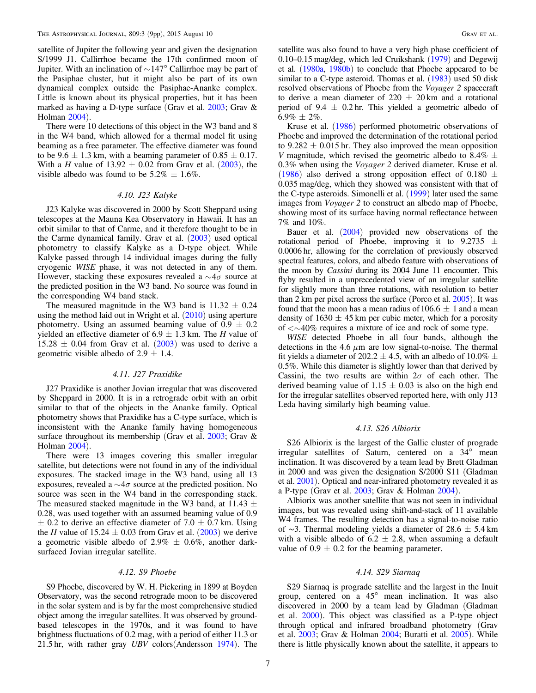satellite of Jupiter the following year and given the designation S/1999 J1. Callirrhoe became the 17th confirmed moon of Jupiter. With an inclination of  $\sim$  147 $\degree$  Callirrhoe may be part of the Pasiphae cluster, but it might also be part of its own dynamical complex outside the Pasiphae-Ananke complex. Little is known about its physical properties, but it has been marked as having a D-type surface (Grav et al. [2003](#page-8-0); Grav & Holman [2004](#page-8-0)).

There were 10 detections of this object in the W3 band and 8 in the W4 band, which allowed for a thermal model fit using beaming as a free parameter. The effective diameter was found to be  $9.6 \pm 1.3$  km, with a beaming parameter of  $0.85 \pm 0.17$ . With a H value of  $13.92 \pm 0.02$  from Grav et al. ([2003](#page-8-0)), the visible albedo was found to be  $5.2\% \pm 1.6\%$ .

### 4.10. J23 Kalyke

J23 Kalyke was discovered in 2000 by Scott Sheppard using telescopes at the Mauna Kea Observatory in Hawaii. It has an orbit similar to that of Carme, and it therefore thought to be in the Carme dynamical family. Grav et al. ([2003](#page-8-0)) used optical photometry to classify Kalyke as a D-type object. While Kalyke passed through 14 individual images during the fully cryogenic WISE phase, it was not detected in any of them. However, stacking these exposures revealed a  $\sim 4\sigma$  source at the predicted position in the W3 band. No source was found in the corresponding W4 band stack.

The measured magnitude in the W3 band is  $11.32 \pm 0.24$ using the method laid out in Wright et al. ([2010](#page-8-0)) using aperture photometry. Using an assumed beaming value of  $0.9 \pm 0.2$ yielded an effective diameter of  $6.9 \pm 1.3$  km. The H value of  $15.28 \pm 0.04$  from Grav et al.  $(2003)$  $(2003)$  $(2003)$  was used to derive a geometric visible albedo of  $2.9 \pm 1.4$ .

### 4.11. J27 Praxidike

J27 Praxidike is another Jovian irregular that was discovered by Sheppard in 2000. It is in a retrograde orbit with an orbit similar to that of the objects in the Ananke family. Optical photometry shows that Praxidike has a C-type surface, which is inconsistent with the Ananke family having homogeneous surface throughout its membership (Grav et al. [2003;](#page-8-0) Grav & Holman [2004](#page-8-0)).

There were 13 images covering this smaller irregular satellite, but detections were not found in any of the individual exposures. The stacked image in the W3 band, using all 13 exposures, revealed a  $\sim$ 4 $\sigma$  source at the predicted position. No source was seen in the W4 band in the corresponding stack. The measured stacked magnitude in the W3 band, at 11.43  $\pm$ 0.28, was used together with an assumed beaming value of 0.9  $\pm$  0.2 to derive an effective diameter of 7.0  $\pm$  0.7 km. Using the H value of  $15.24 \pm 0.03$  from Grav et al. ([2003](#page-8-0)) we derive a geometric visible albedo of 2.9%  $\pm$  0.6%, another darksurfaced Jovian irregular satellite.

### 4.12. S9 Phoebe

S9 Phoebe, discovered by W. H. Pickering in 1899 at Boyden Observatory, was the second retrograde moon to be discovered in the solar system and is by far the most comprehensive studied object among the irregular satellites. It was observed by groundbased telescopes in the 1970s, and it was found to have brightness fluctuations of 0.2 mag, with a period of either 11.3 or 21.5 hr, with rather gray UBV colors(Andersson [1974](#page-8-0)). The

satellite was also found to have a very high phase coefficient of 0.10–0.15 mag/deg, which led Cruikshank ([1979](#page-8-0)) and Degewij et al. ([1980a,](#page-8-0) [1980b](#page-8-0)) to conclude that Phoebe appeared to be similar to a C-type asteroid. Thomas et al.  $(1983)$  $(1983)$  $(1983)$  used 50 disk resolved observations of Phoebe from the Voyager 2 spacecraft to derive a mean diameter of  $220 \pm 20$  km and a rotational period of 9.4  $\pm$  0.2 hr. This yielded a geometric albedo of  $6.9\% \pm 2\%.$ 

Kruse et al. ([1986](#page-8-0)) performed photometric observations of Phoebe and improved the determination of the rotational period to 9.282  $\pm$  0.015 hr. They also improved the mean opposition V magnitude, which revised the geometric albedo to 8.4%  $\pm$ 0.3% when using the Voyager 2 derived diameter. Kruse et al. ([1986](#page-8-0)) also derived a strong opposition effect of 0.180  $\pm$ 0.035 mag/deg, which they showed was consistent with that of the C-type asteroids. Simonelli et al. ([1999](#page-8-0)) later used the same images from Voyager 2 to construct an albedo map of Phoebe, showing most of its surface having normal reflectance between 7% and 10%.

Bauer et al. ([2004](#page-8-0)) provided new observations of the rotational period of Phoebe, improving it to 9.2735  $\pm$ 0.0006 hr, allowing for the correlation of previously observed spectral features, colors, and albedo feature with observations of the moon by Cassini during its 2004 June 11 encounter. This flyby resulted in a unprecedented view of an irregular satellite for slightly more than three rotations, with resolution to better than 2 km per pixel across the surface (Porco et al. [2005](#page-8-0)). It was found that the moon has a mean radius of  $106.6 \pm 1$  and a mean density of  $1630 \pm 45$  km per cubic meter, which for a porosity of  $\langle \sim 40\%$  requires a mixture of ice and rock of some type.

WISE detected Phoebe in all four bands, although the detections in the 4.6  $\mu$ m are low signal-to-noise. The thermal fit yields a diameter of 202.2  $\pm$  4.5, with an albedo of 10.0%  $\pm$ 0.5%. While this diameter is slightly lower than that derived by Cassini, the two results are within  $2\sigma$  of each other. The derived beaming value of 1.15  $\pm$  0.03 is also on the high end for the irregular satellites observed reported here, with only J13 Leda having similarly high beaming value.

### 4.13. S26 Albiorix

S26 Albiorix is the largest of the Gallic cluster of prograde irregular satellites of Saturn, centered on a 34° mean inclination. It was discovered by a team lead by Brett Gladman in 2000 and was given the designation S/2000 S11 (Gladman et al. [2001](#page-8-0)). Optical and near-infrared photometry revealed it as a P-type (Grav et al. [2003;](#page-8-0) Grav & Holman [2004](#page-8-0)).

Albiorix was another satellite that was not seen in individual images, but was revealed using shift-and-stack of 11 available W4 frames. The resulting detection has a signal-to-noise ratio of ∼3. Thermal modeling yields a diameter of 28.6 ± 5.4 km with a visible albedo of  $6.2 \pm 2.8$ , when assuming a default value of  $0.9 \pm 0.2$  for the beaming parameter.

## 4.14. S29 Siarnaq

S29 Siarnaq is prograde satellite and the largest in the Inuit group, centered on a 45° mean inclination. It was also discovered in 2000 by a team lead by Gladman (Gladman et al. [2000](#page-8-0)). This object was classified as a P-type object through optical and infrared broadband photometry (Grav et al. [2003;](#page-8-0) Grav & Holman [2004;](#page-8-0) Buratti et al. [2005](#page-8-0)). While there is little physically known about the satellite, it appears to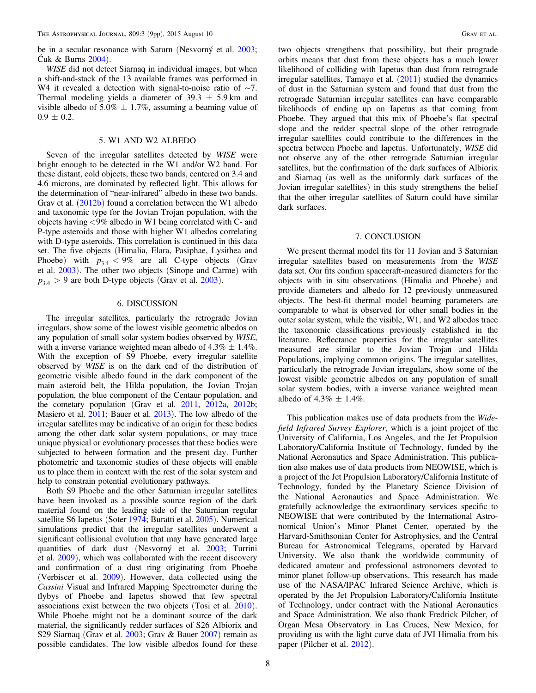be in a secular resonance with Saturn (Nesvorný et al. [2003](#page-8-0); Cuk  $&$  Burns  $2004$ ).

WISE did not detect Siarnaq in individual images, but when a shift-and-stack of the 13 available frames was performed in W4 it revealed a detection with signal-to-noise ratio of ∼7. Thermal modeling yields a diameter of  $39.3 \pm 5.9$  km and visible albedo of 5.0%  $\pm$  1.7%, assuming a beaming value of  $0.9 \pm 0.2$ .

# 5. W1 AND W2 ALBEDO

Seven of the irregular satellites detected by WISE were bright enough to be detected in the W1 and/or W2 band. For these distant, cold objects, these two bands, centered on 3.4 and 4.6 microns, are dominated by reflected light. This allows for the determination of "near-infrared" albedo in these two bands. Grav et al. ([2012b](#page-8-0)) found a correlation between the W1 albedo and taxonomic type for the Jovian Trojan population, with the objects having <9% albedo in W1 being correlated with C- and P-type asteroids and those with higher W1 albedos correlating with D-type asteroids. This correlation is continued in this data set. The five objects (Himalia, Elara, Pasiphae, Lysithea and Phoebe) with  $p_{3,4} < 9\%$  are all C-type objects (Grav et al. [2003](#page-8-0)). The other two objects (Sinope and Carme) with  $p_{3,4} > 9$  are both D-type objects (Grav et al. [2003](#page-8-0)).

# 6. DISCUSSION

The irregular satellites, particularly the retrograde Jovian irregulars, show some of the lowest visible geometric albedos on any population of small solar system bodies observed by WISE, with a inverse variance weighted mean albedo of  $4.3\% \pm 1.4\%$ . With the exception of S9 Phoebe, every irregular satellite observed by WISE is on the dark end of the distribution of geometric visible albedo found in the dark component of the main asteroid belt, the Hilda population, the Jovian Trojan population, the blue component of the Centaur population, and the cometary population (Grav et al. [2011](#page-8-0), [2012a,](#page-8-0) [2012b](#page-8-0); Masiero et al. [2011](#page-8-0); Bauer et al. [2013](#page-8-0)). The low albedo of the irregular satellites may be indicative of an origin for these bodies among the other dark solar system populations, or may trace unique physical or evolutionary processes that these bodies were subjected to between formation and the present day. Further photometric and taxonomic studies of these objects will enable us to place them in context with the rest of the solar system and help to constrain potential evolutionary pathways.

Both S9 Phoebe and the other Saturnian irregular satellites have been invoked as a possible source region of the dark material found on the leading side of the Saturnian regular satellite S6 Iapetus (Soter [1974;](#page-8-0) Buratti et al. [2005](#page-8-0)). Numerical simulations predict that the irregular satellites underwent a significant collisional evolution that may have generated large quantities of dark dust (Nesvorný et al. [2003;](#page-8-0) Turrini et al. [2009](#page-8-0)), which was collaborated with the recent discovery and confirmation of a dust ring originating from Phoebe (Verbiscer et al. [2009](#page-8-0)). However, data collected using the Cassini Visual and Infrared Mapping Spectrometer during the flybys of Phoebe and Iapetus showed that few spectral associations exist between the two objects (Tosi et al. [2010](#page-8-0)). While Phoebe might not be a dominant source of the dark material, the significantly redder surfaces of S26 Albiorix and S29 Siarnaq (Grav et al. [2003](#page-8-0); Grav & Bauer [2007](#page-8-0)) remain as possible candidates. The low visible albedos found for these

two objects strengthens that possibility, but their prograde orbits means that dust from these objects has a much lower likelihood of colliding with Iapetus than dust from retrograde irregular satellites. Tamayo et al. ([2011](#page-8-0)) studied the dynamics of dust in the Saturnian system and found that dust from the retrograde Saturnian irregular satellites can have comparable likelihoods of ending up on Iapetus as that coming from Phoebe. They argued that this mix of Phoebe's flat spectral slope and the redder spectral slope of the other retrograde irregular satellites could contribute to the differences in the spectra between Phoebe and Iapetus. Unfortunately, WISE did not observe any of the other retrograde Saturnian irregular satellites, but the confirmation of the dark surfaces of Albiorix and Siarnaq (as well as the uniformly dark surfaces of the Jovian irregular satellites) in this study strengthens the belief that the other irregular satellites of Saturn could have similar dark surfaces.

# 7. CONCLUSION

We present thermal model fits for 11 Jovian and 3 Saturnian irregular satellites based on measurements from the WISE data set. Our fits confirm spacecraft-measured diameters for the objects with in situ observations (Himalia and Phoebe) and provide diameters and albedo for 12 previously unmeasured objects. The best-fit thermal model beaming parameters are comparable to what is observed for other small bodies in the outer solar system, while the visible, W1, and W2 albedos trace the taxonomic classifications previously established in the literature. Reflectance properties for the irregular satellites measured are similar to the Jovian Trojan and Hilda Populations, implying common origins. The irregular satellites, particularly the retrograde Jovian irregulars, show some of the lowest visible geometric albedos on any population of small solar system bodies, with a inverse variance weighted mean albedo of  $4.3\% \pm 1.4\%$ .

This publication makes use of data products from the Widefield Infrared Survey Explorer, which is a joint project of the University of California, Los Angeles, and the Jet Propulsion Laboratory/California Institute of Technology, funded by the National Aeronautics and Space Administration. This publication also makes use of data products from NEOWISE, which is a project of the Jet Propulsion Laboratory/California Institute of Technology, funded by the Planetary Science Division of the National Aeronautics and Space Administration. We gratefully acknowledge the extraordinary services specific to NEOWISE that were contributed by the International Astronomical Union's Minor Planet Center, operated by the Harvard-Smithsonian Center for Astrophysics, and the Central Bureau for Astronomical Telegrams, operated by Harvard University. We also thank the worldwide community of dedicated amateur and professional astronomers devoted to minor planet follow-up observations. This research has made use of the NASA/IPAC Infrared Science Archive, which is operated by the Jet Propulsion Laboratory/California Institute of Technology, under contract with the National Aeronautics and Space Administration. We also thank Fredrick Pilcher, of Organ Mesa Observatory in Las Cruces, New Mexico, for providing us with the light curve data of JVI Himalia from his paper (Pilcher et al. [2012](#page-8-0)).